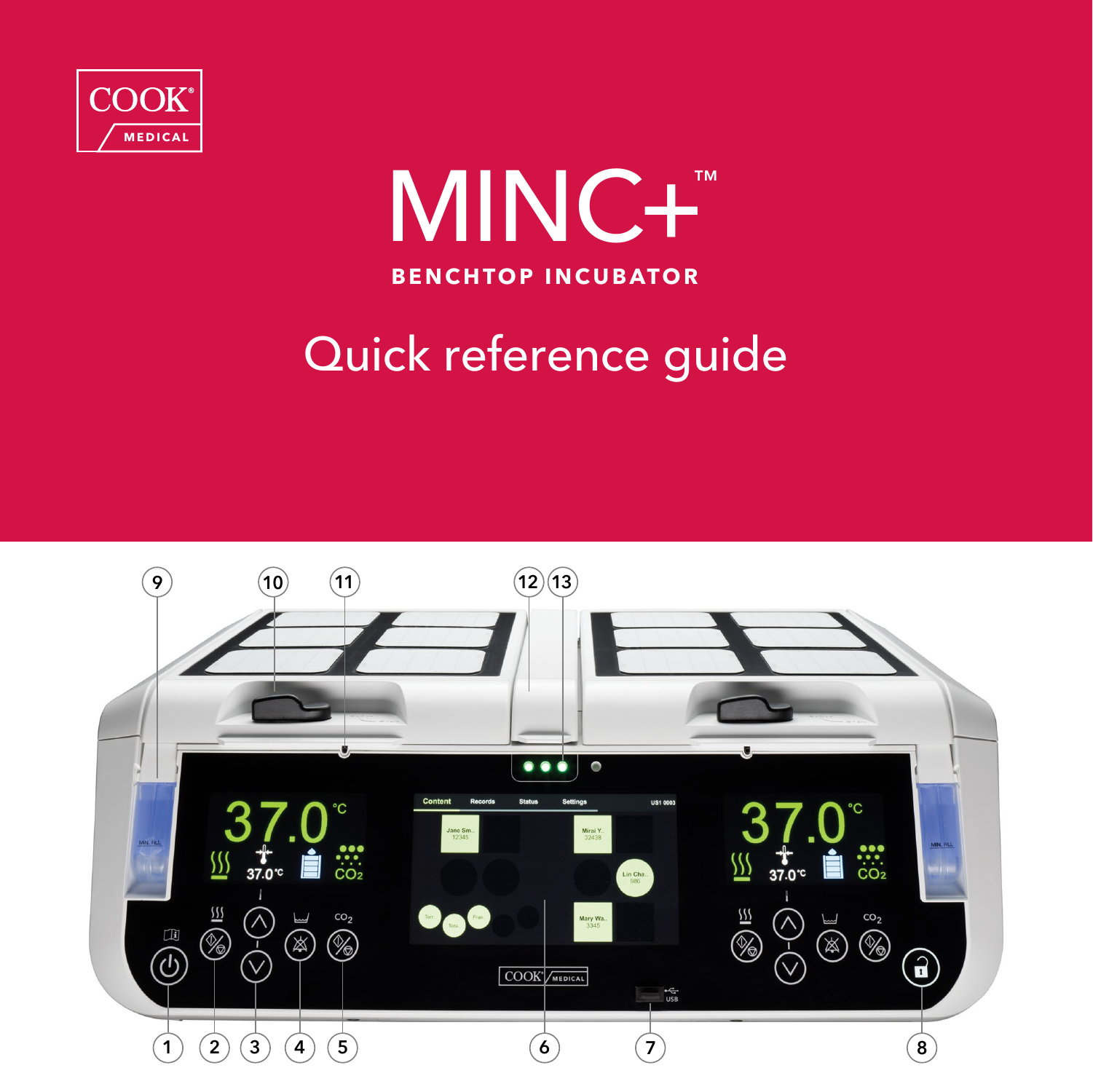



## Quick reference guide

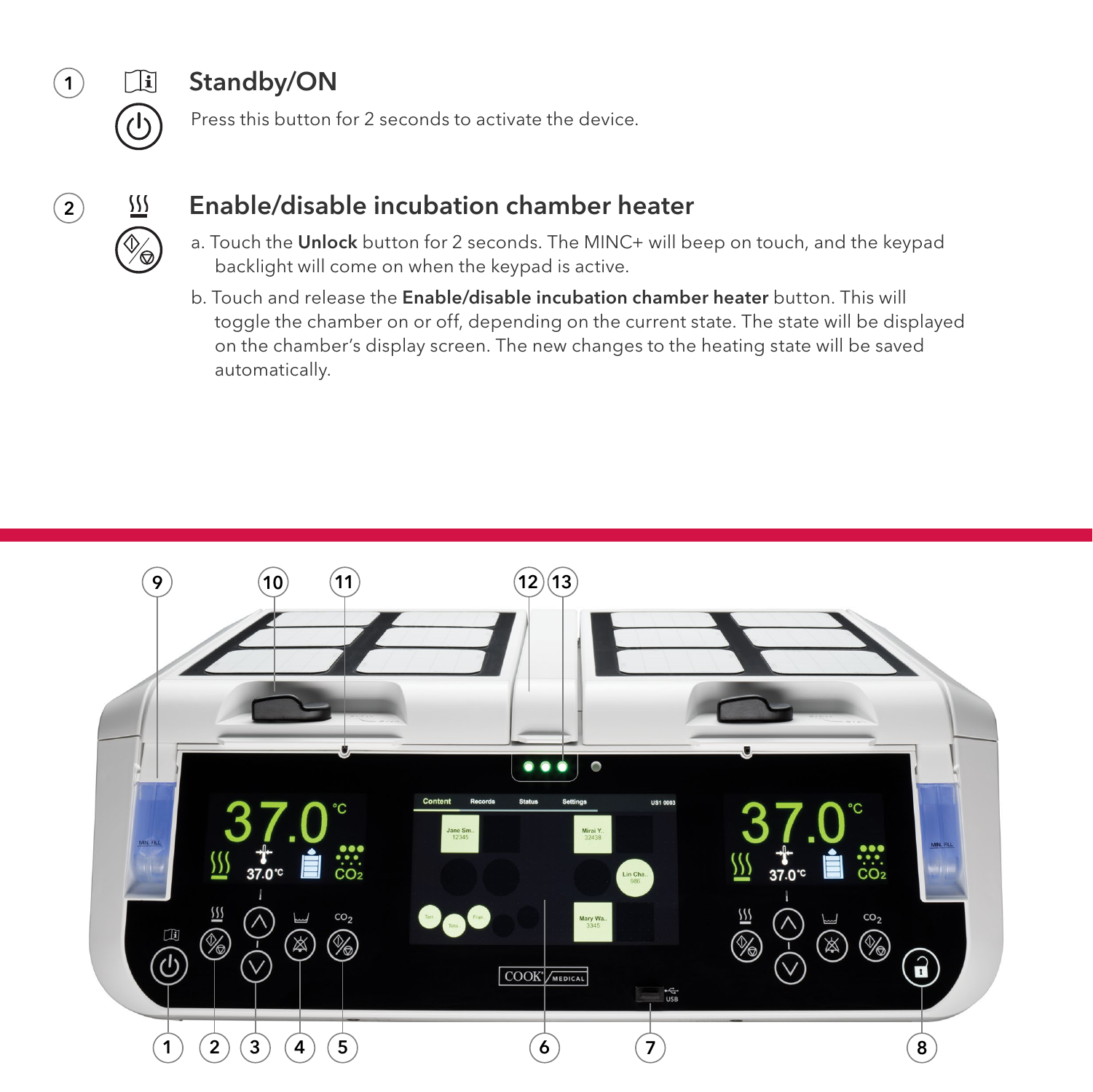<span id="page-1-0"></span>

### Standby/ON

Press this button for 2 seconds to activate the device.



#### Enable/disable incubation chamber heater

- a. Touch the Unlock button for 2 seconds. The MINC+ will beep on touch, and the keypad backlight will come on when the keypad is active.
- b. Touch and release the Enable/disable incubation chamber heater button. This will toggle the chamber on or off, depending on the current state. The state will be displayed on the chamber's display screen. The new changes to the heating state will be saved automatically.

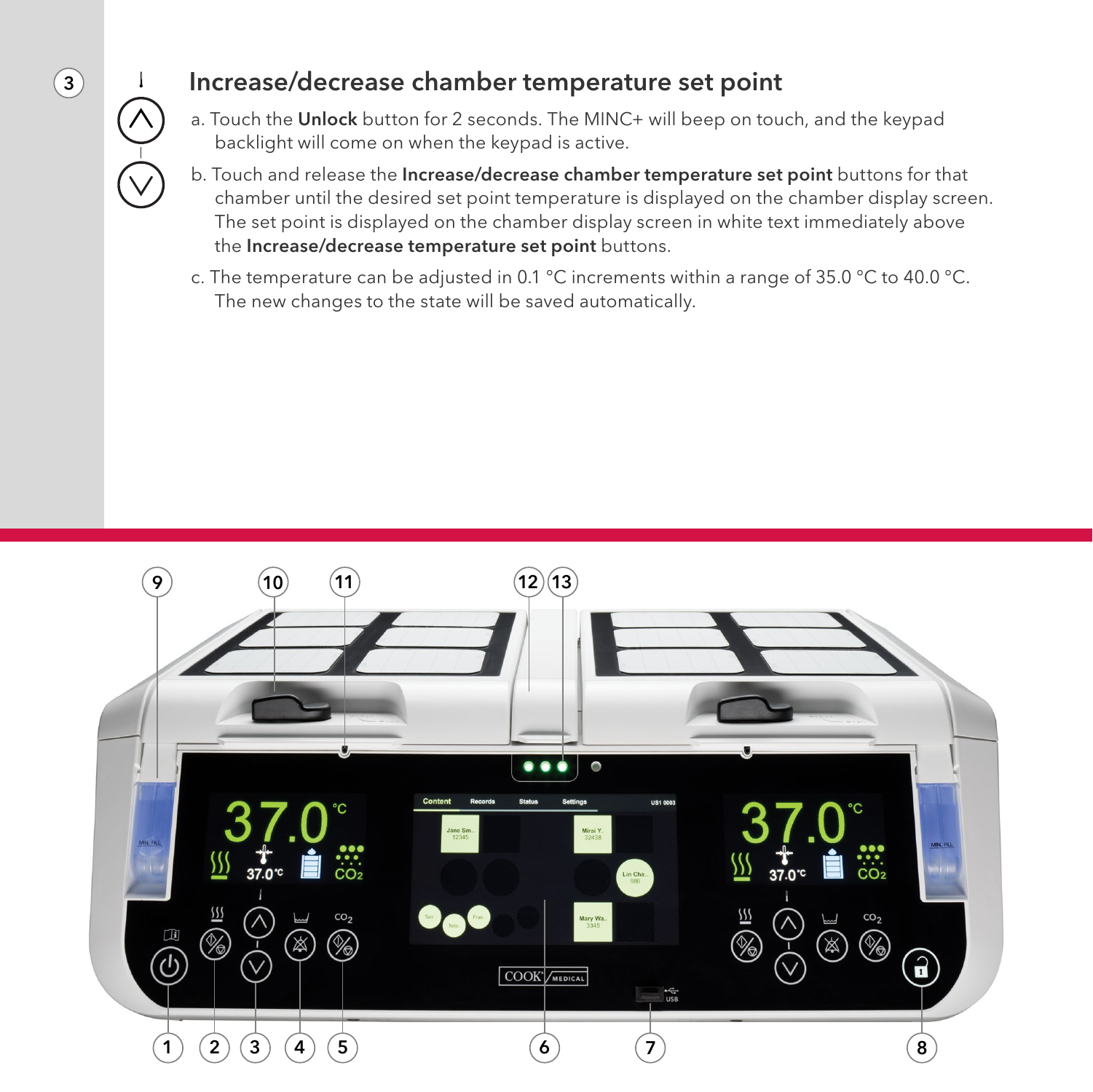# <span id="page-2-0"></span>3

#### Increase/decrease chamber temperature set point

- a. Touch the Unlock button for 2 seconds. The MINC+ will beep on touch, and the keypad backlight will come on when the keypad is active.
- b. Touch and release the Increase/decrease chamber temperature set point buttons for that chamber until the desired set point temperature is displayed on the chamber display screen. The set point is displayed on the chamber display screen in white text immediately above the Increase/decrease temperature set point buttons.
- c. The temperature can be adjusted in 0.1 °C increments within a range of 35.0 °C to 40.0 °C. The new changes to the state will be saved automatically.

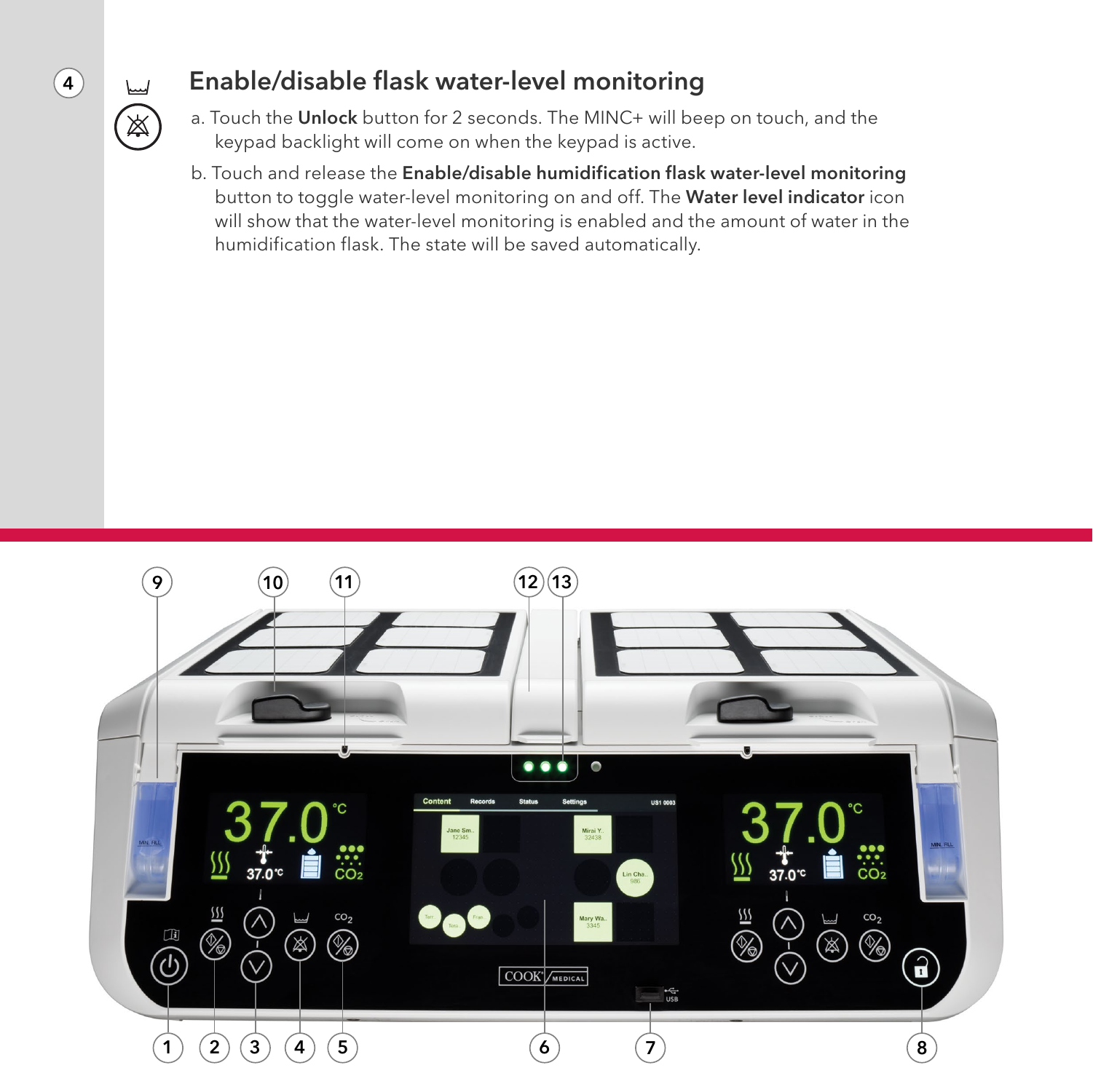## <span id="page-3-0"></span> $\left( 4\right)$

É

#### Enable/disable flask water-level monitoring

- a. Touch the Unlock button for 2 seconds. The MINC+ will beep on touch, and the keypad backlight will come on when the keypad is active.
- b. Touch and release the Enable/disable humidification flask water-level monitoring button to toggle water-level monitoring on and off. The Water level indicator icon will show that the water-level monitoring is enabled and the amount of water in the humidification flask. The state will be saved automatically.

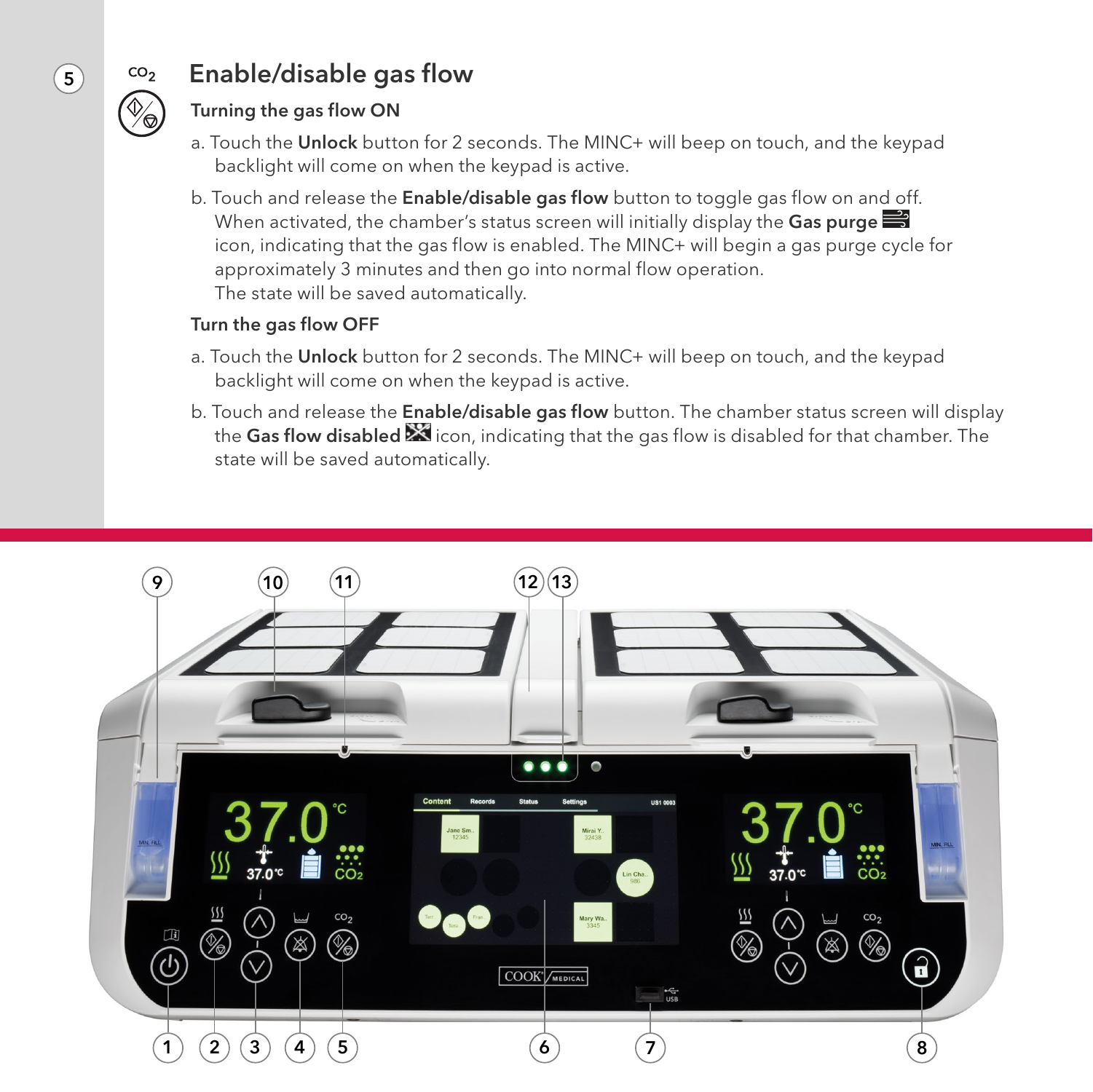<span id="page-4-0"></span>

#### Enable/disable gas flow

#### Turning the gas flow ON

- a. Touch the Unlock button for 2 seconds. The MINC+ will beep on touch, and the keypad backlight will come on when the keypad is active.
- b. Touch and release the Enable/disable gas flow button to toggle gas flow on and off. When activated, the chamber's status screen will initially display the Gas purge  $\Rightarrow$ icon, indicating that the gas flow is enabled. The MINC+ will begin a gas purge cycle for approximately 3 minutes and then go into normal flow operation. The state will be saved automatically.

#### Turn the gas flow OFF

- a. Touch the Unlock button for 2 seconds. The MINC+ will beep on touch, and the keypad backlight will come on when the keypad is active.
- b. Touch and release the Enable/disable gas flow button. The chamber status screen will display the Gas flow disabled  $\mathbb X$  icon, indicating that the gas flow is disabled for that chamber. The state will be saved automatically.

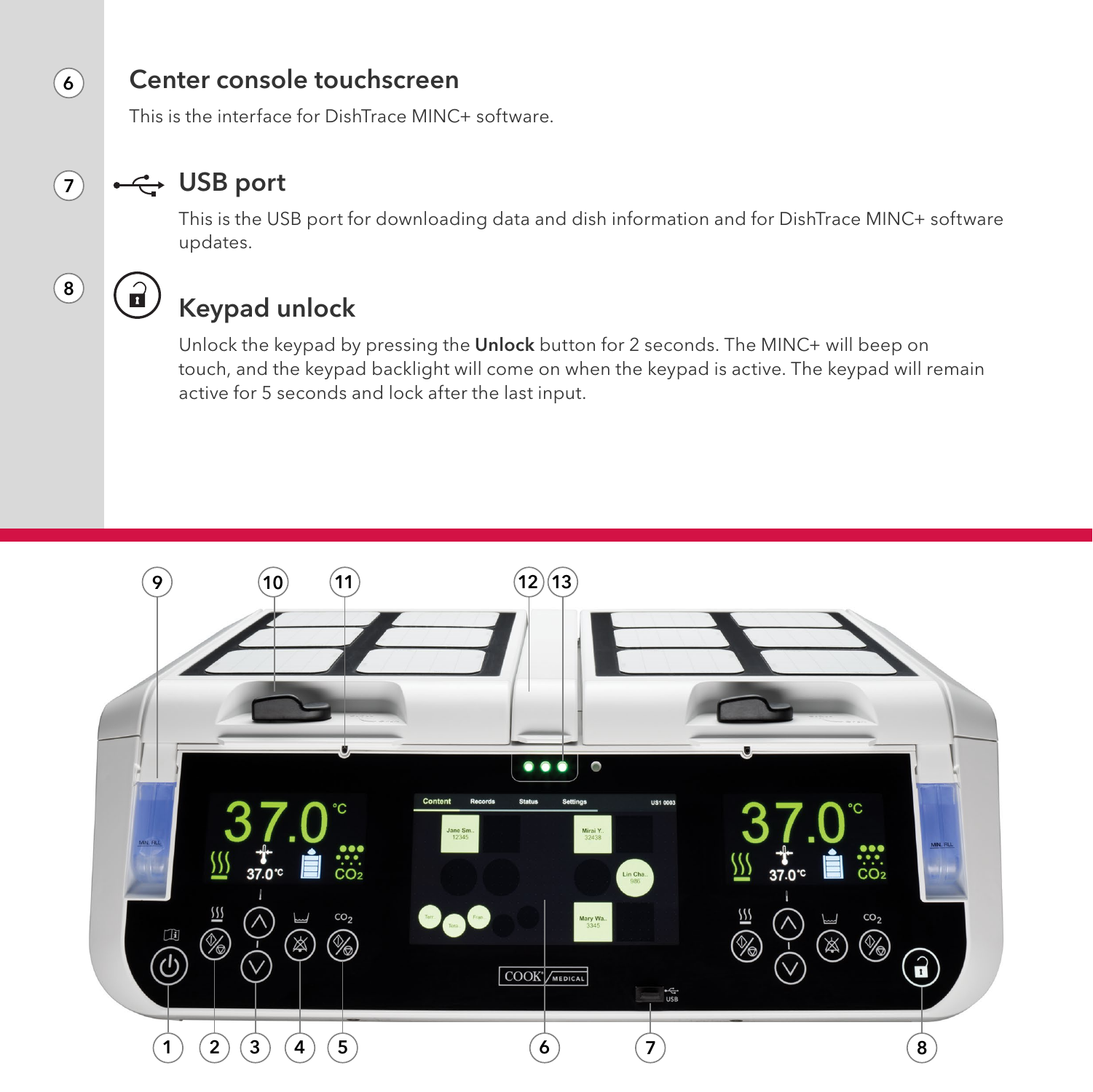#### Center console touchscreen

This is the interface for DishTrace MINC+ software.

### ←← USB port

This is the USB port for downloading data and dish information and for DishTrace MINC+ software updates.

 $\left( 8\right)$ 

 $\mathbf{r}$ 

 $(7)$ 

<span id="page-5-0"></span> $\left( \mathbf{6}\right)$ 

### Keypad unlock

Unlock the keypad by pressing the Unlock button for 2 seconds. The MINC+ will beep on touch, and the keypad backlight will come on when the keypad is active. The keypad will remain active for 5 seconds and lock after the last input.

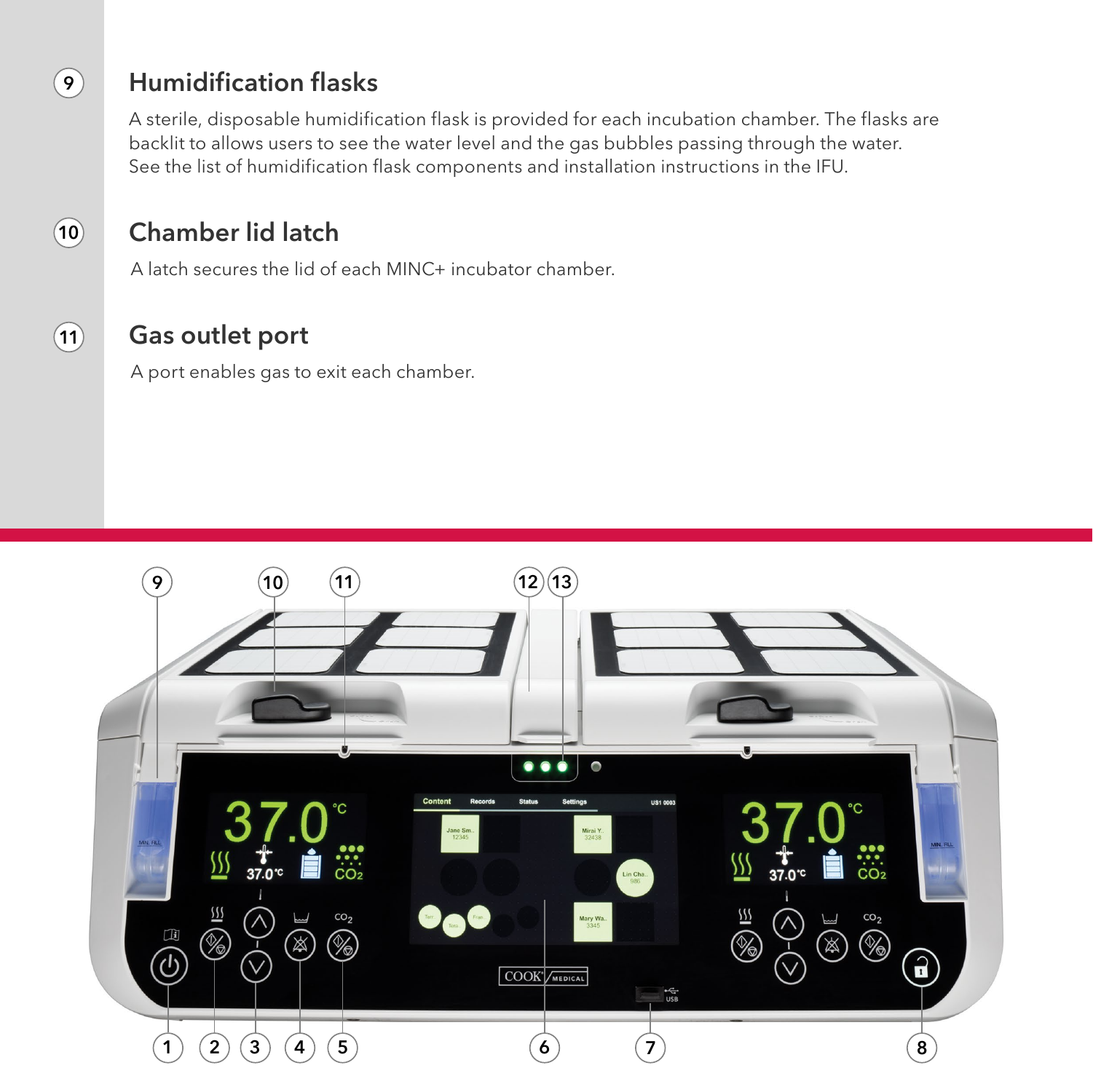#### Humidification flasks

<span id="page-6-0"></span> $\left( 9\right)$ 

 $(11)$ 

 $(10)$ 

A sterile, disposable humidification flask is provided for each incubation chamber. The flasks are backlit to allows users to see the water level and the gas bubbles passing through the water. See the list of humidification flask components and installation instructions in the IFU.

#### Chamber lid latch

A latch secures the lid of each MINC+ incubator chamber.

#### Gas outlet port

A port enables gas to exit each chamber.

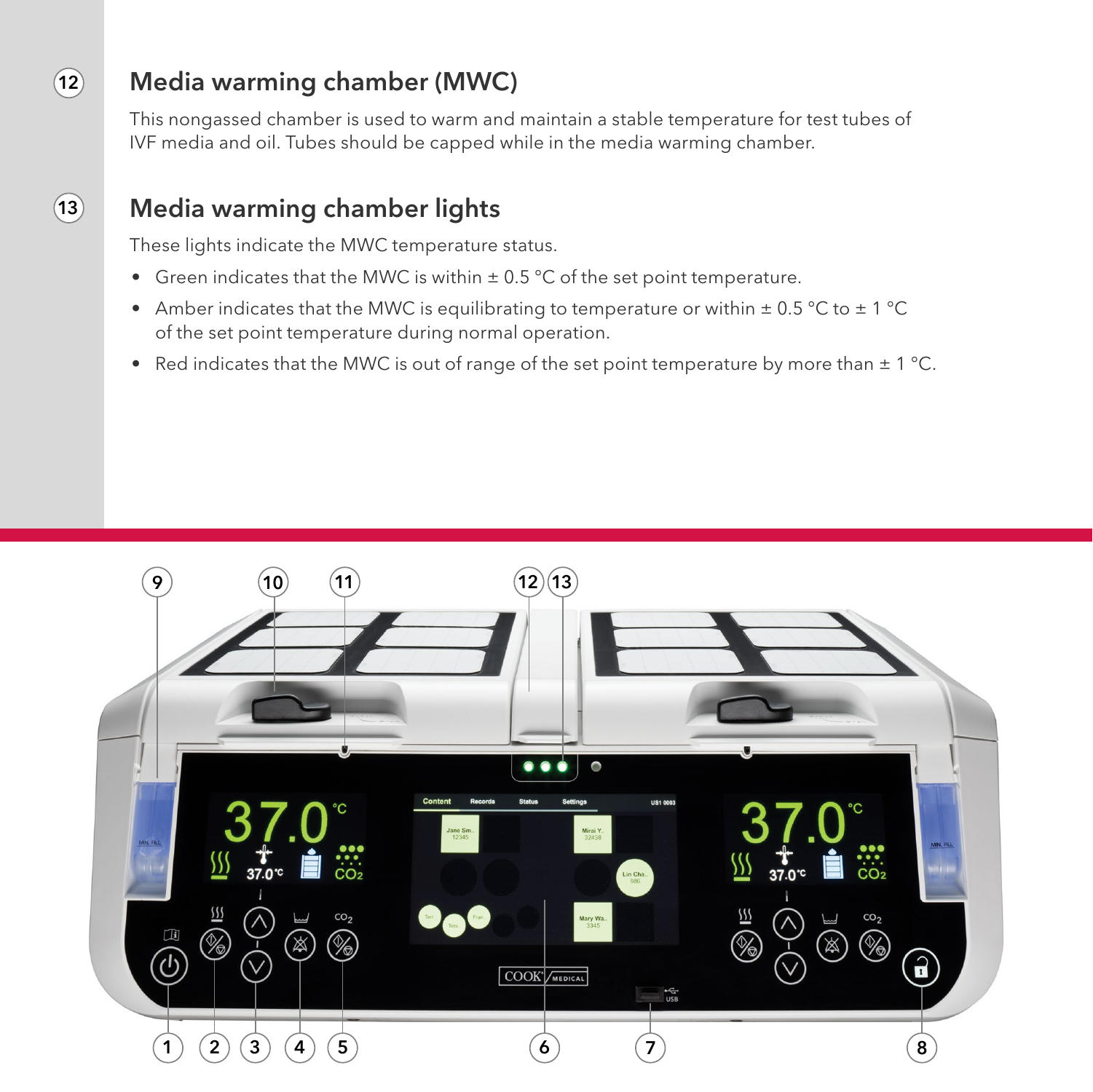#### Media warming chamber (MWC)

This nongassed chamber is used to warm and maintain a stable temperature for test tubes of IVF media and oil. Tubes should be capped while in the media warming chamber.

#### Media warming chamber lights

These lights indicate the MWC temperature status.

- Green indicates that the MWC is within  $\pm$  0.5 °C of the set point temperature.
- Amber indicates that the MWC is equilibrating to temperature or within  $\pm$  0.5 °C to  $\pm$  1 °C of the set point temperature during normal operation.
- Red indicates that the MWC is out of range of the set point temperature by more than  $\pm 1^{\circ}$ C.



 $(13)$ 

<span id="page-7-0"></span> $(12)$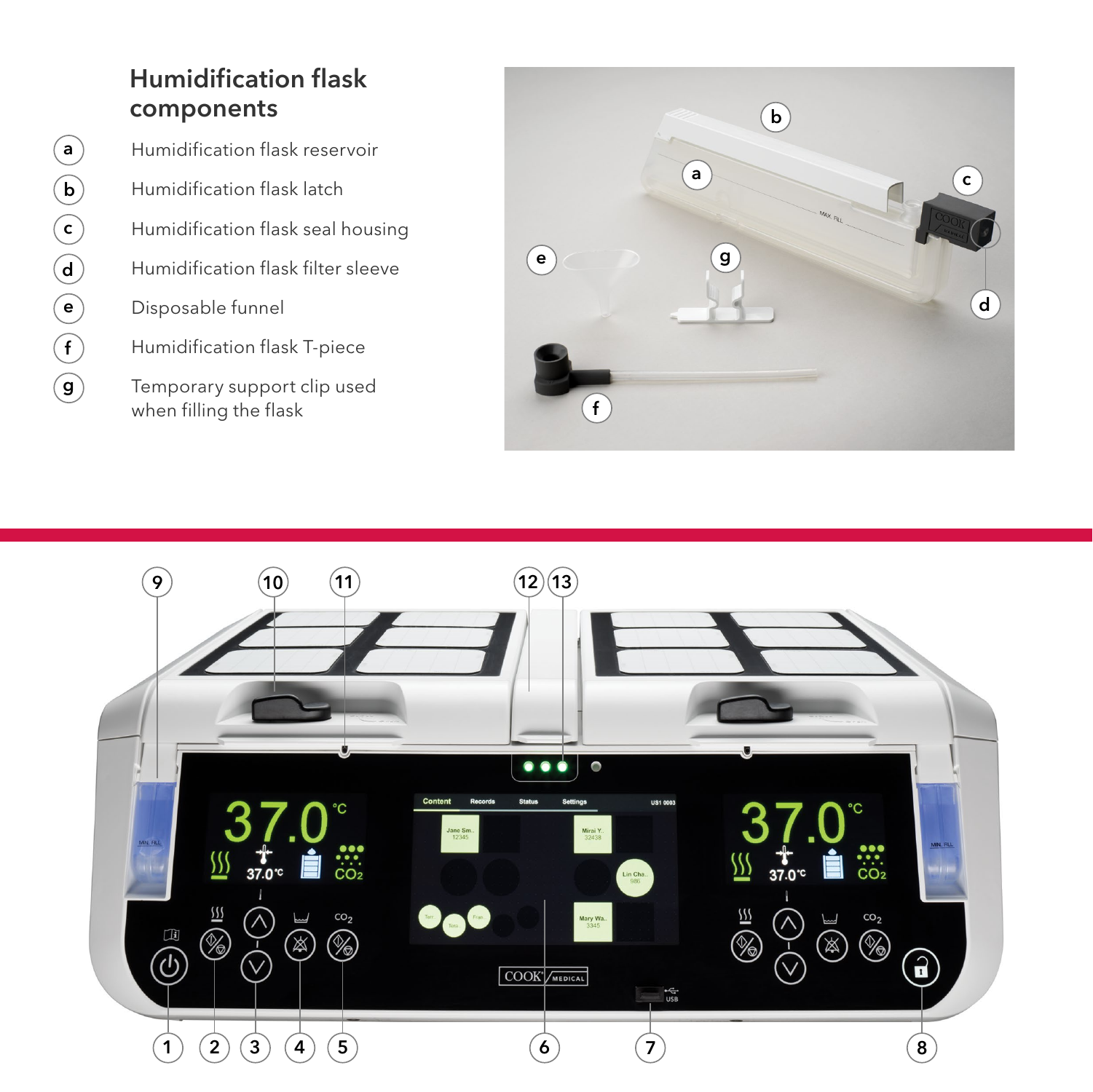#### Humidification flask components

 $(\mathsf{a})$ 

 $\bigodot$ 

 $\bigcirc$ 

 $\bigodot$ 

e

 $\bigodot$ 

 $\circledcirc$ 

- Humidification flask reservoir Humidification flask latch Humidification flask seal housing Humidification flask filter sleeve Disposable funnel Humidification flask T-piece
- Temporary support clip used when filling the flask



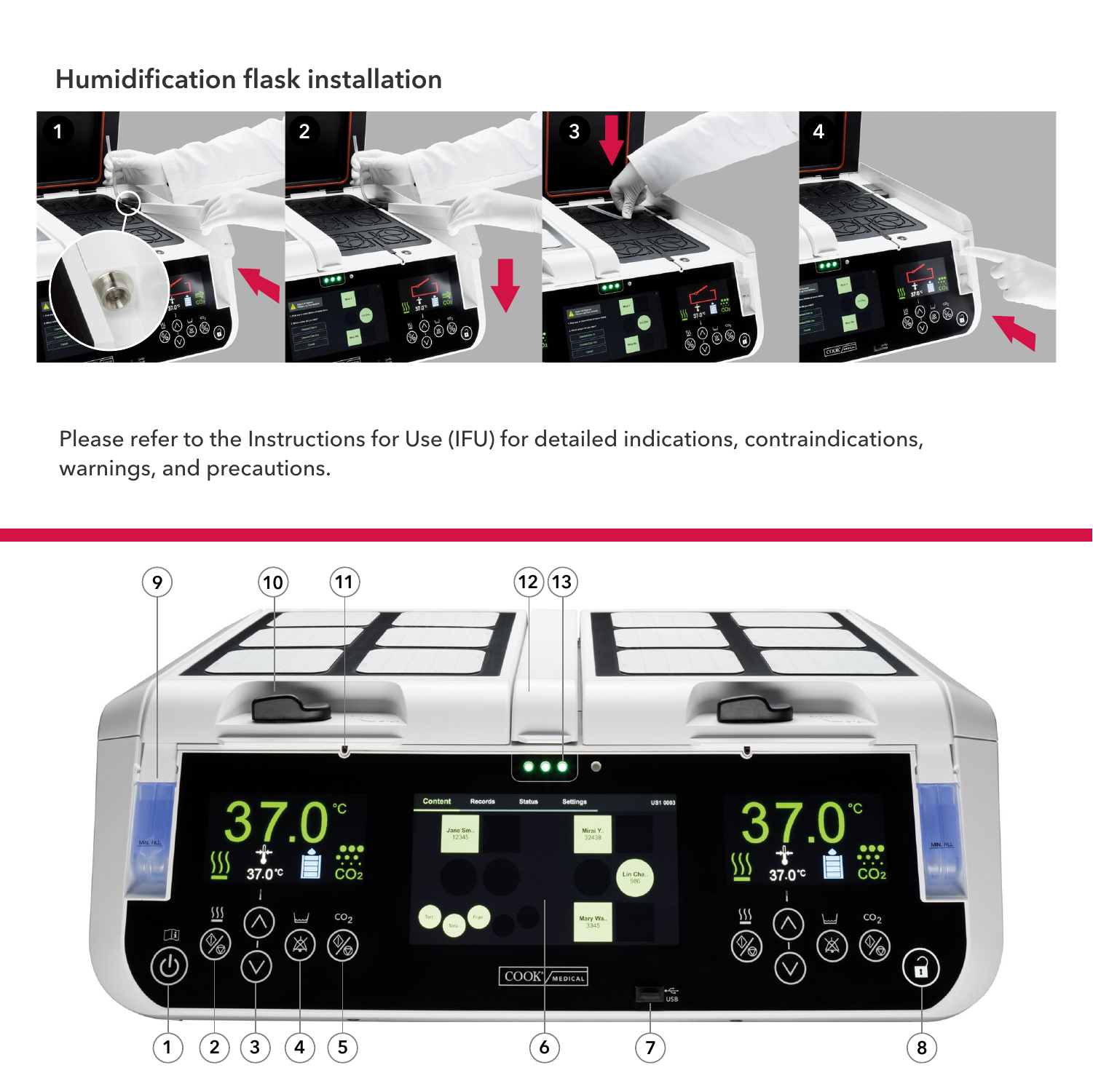#### Humidification flask installation



Please refer to the Instructions for Use (IFU) for detailed indications, contraindications, warnings, and precautions.